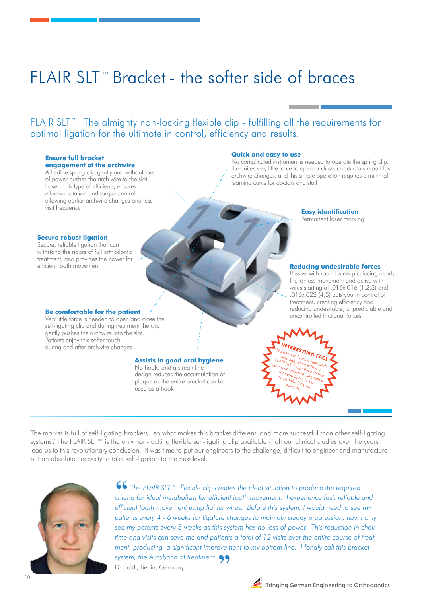# FLAIR SLT™ Bracket - the softer side of braces

FLAIR SLT ™ The almighty non-locking flexible clip - fulfilling all the requirements for optimal ligation for the ultimate in control, efficiency and results.

#### **Ensure full bracket engagement of the archwire**

A flexible spring clip gently and without loss of power pushes the arch wire to the slot base. This type of efficiency ensures effective rotation and torque control allowing earlier archwire changes and less visit frequency

#### **Quick and easy to use**

No complicated instrument is needed to operate the spring clip, it requires very little force to open or close, our doctors report fast archwire changes, and this simple operation requires a minimal learning curve for doctors and staff

#### **Secure robust ligation**

Secure, reliable ligation that can withstand the rigors of full orthodontic treatment, and provides the power for efficient tooth movement

### **Easy identification**

Permanent laser marking

#### **Reducing undesirable forces**

Passive with round wires producing nearly frictionless movement and active with wires starting at .016x.016 (1,2,3) and .016x.022 (4,5) puts you in control of treatment, creating efficiency and reducing undesirable, unpredictable and uncontrolled frictional forces

#### **Be comfortable for the patient**

Very little force is needed to open and close the self-ligating clip and during treatment the clip gently pushes the archwire into the slot. Patients enjoy this softer touch during and after archwire changes

#### **Assists in good oral hygiene**

No hooks and a streamline design reduces the accumulation of plaque as the entire bracket can be used as a hook

**INTERESTING FACT**<br>
Interesting factor a new arch-<br>
I Mile sequence of a new archwire sequence with the<br>UR SLT<sup>TM</sup> Ce with the<br>Own art Continue the  $FLAIR$  sequence with the<br>our own archwine the<br>that you kning to use<br>to you kning sequence your own archwire sequence<br>that you know sequence<br>successful to be the sequence that you know to be<br>successful for to be successful for your<br>patients your patients

The market is full of self-ligating brackets...so what makes this bracket different, and more successful than other self-ligating systems? The FLAIR SLT™ is the only non-locking flexible self-ligating clip available - all our clinical studies over the years lead us to this revolutionary conclusion, it was time to put our engineers to the challenge, difficult to engineer and manufacture but an absolute necessity to take self-ligation to the next level.



*The FLAIR SLT™ flexible clip creates the ideal situation to produce the required criteria for ideal metabolism for efficient tooth movement. I experience fast, reliable and efficient tooth movement using lighter wires. Before this system, I would need to see my patients every 4 - 6 weeks for ligature changes to maintain steady progression, now I only see my patents every 8 weeks as this system has no loss of power. This reduction in chairtime and visits can save me and patients a total of 12 visits over the entire course of treatment, producing a significant improvement to my bottom line. I fondly call this bracket*  **Dr.** Loidl, Berlin, Germany<br>Dr. Loidl, Berlin, Germany Dr. Loidl, Berlin, Germany **66** T<br>criteria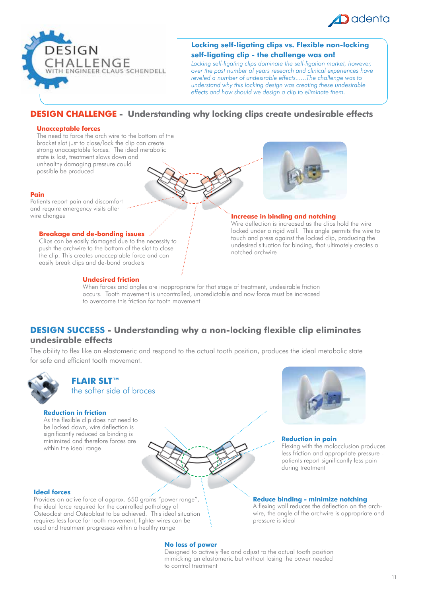



# **Locking self-ligating clips vs. Flexible non-locking self-ligating clip - the challenge was on!**

*Locking self-ligating clips dominate the self-ligation market, however, over the past number of years research and clinical experiences have reveled a number of undesirable effects......The challenge was to understand why this locking design was creating these undesirable effects and how should we design a clip to eliminate them.* 

# **DESIGN CHALLENGE - Understanding why locking clips create undesirable effects**

#### **Unacceptable forces**

The need to force the arch wire to the bottom of the bracket slot just to close/lock the clip can create strong unacceptable forces. The ideal metabolic state is lost, treatment slows down and unhealthy damaging pressure could possible be produced

#### **Pain**

Patients report pain and discomfort and require emergency visits after

#### **Breakage and de-bonding issues**

Clips can be easily damaged due to the necessity to push the archwire to the bottom of the slot to close the clip. This creates unacceptable force and can easily break clips and de-bond brackets

#### **Undesired friction**



#### **Increase in binding and notching** in the changes **Increase in binding and notching**

Wire deflection is increased as the clips hold the wire locked under a rigid wall. This angle permits the wire to touch and press against the locked clip, producing the undesired situation for binding, that ultimately creates a notched archwire

When forces and angles are inappropriate for that stage of treatment, undesirable friction occurs. Tooth movement is uncontrolled, unpredictable and now force must be increased to overcome this friction for tooth movement

# **DESIGN SUCCESS - Understanding why a non-locking flexible clip eliminates undesirable effects**

The ability to flex like an elastomeric and respond to the actual tooth position, produces the ideal metabolic state for safe and efficient tooth movement.



# **FLAIR SLT™** the softer side of braces

#### **Reduction in friction**

As the flexible clip does not need to be locked down, wire deflection is significantly reduced as binding is minimized and therefore forces are within the ideal range



#### **Reduction in pain**

Flexing with the malocclusion produces less friction and appropriate pressure patients report significantly less pain during treatment

#### **Reduce binding - minimize notching**

A flexing wall reduces the deflection on the archwire, the angle of the archwire is appropriate and pressure is ideal

#### **Ideal forces**

Provides an active force of approx. 650 grams "power range", the ideal force required for the controlled pathology of Osteoclast and Osteoblast to be achieved. This ideal situation requires less force for tooth movement, lighter wires can be used and treatment progresses within a healthy range

#### **No loss of power**

Designed to actively flex and adjust to the actual tooth position mimicking an elastomeric but without losing the power needed to control treatment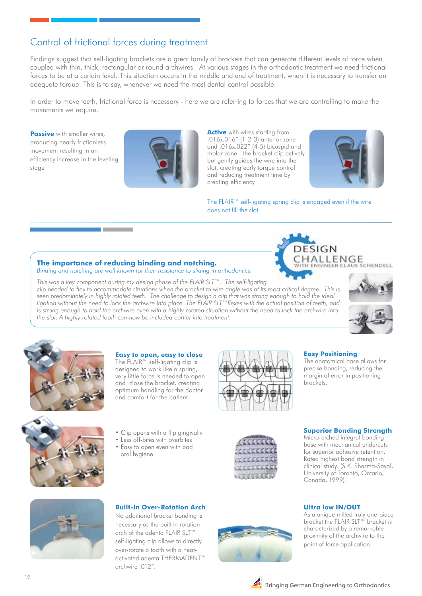# Control of frictional forces during treatment

Findings suggest that self-ligating brackets are a great family of brackets that can generate different levels of force when coupled with thin, thick, rectangular or round archwires. At various stages in the orthodontic treatment we need frictional forces to be at a certain level. This situation occurs in the middle and end of treatment, when it is necessary to transfer an adequate torque. This is to say, whenever we need the most dental control possible.

In order to move teeth, frictional force is necessary - here we are referring to forces that we are controlling to make the movements we require.

**Passive** with smaller wires, producing nearly frictionless movement resulting in an efficiency increase in the leveling stage



**Active** with wires starting from .016x.016" (1-2-3) anterior zone and .016x.022" (4-5) bicuspid and molar zone - the bracket clip actively but gently guides the wire into the slot, creating early torque control and reducing treatment time by creating efficiency



The FLAIR™ self-ligating spring clip is engaged even if the wire does not fill the slot.

# **The importance of reducing binding and notching.**

*Binding and notching are well known for their resistance to sliding in orthodontics.* 

*This was a key component during my design phase of the FLAIR SLT™. The self-ligating clip needed to flex to accommodate situations when the bracket to wire angle was at its most critical degree. This is seen predominately in highly rotated teeth. The challenge to design a clip that was strong enough to hold the ideal ligation without the need to lock the archwire into place. The FLAIR SLT™flexes with the actual position of teeth, and is strong enough to hold the archwire even with a highly rotated situation without the need to lock the archwire into the slot. A highly rotated tooth can now be included earlier into treatment.*



CLAUS SCHENDELL



#### **Easy to open, easy to close**

The FLAIR™ self-ligating clip is designed to work like a spring, very little force is needed to open and close the bracket, creating optimum handling for the doctor and comfort for the patient.





SIGN

ENGINEER

**HALLENGE** 

The anatomical base allows for precise bonding, reducing the margin of error in positioning brackets.



### • Clip opens with a flip gingivally

- Less off-bites with overbites
- Easy to open even with bad
	- oral hygiene



#### **Superior Bonding Strength**

Micro-etched integral bonding base with mechanical undercuts for superior adhesive retention. Rated highest bond strength in clinical study. (S.K. Sharma-Sayal, University of Toronto, Ontario, Canada, 1999).

## **Ultra low IN/OUT**

As a unique milled truly one-piece bracket the FLAIR SLT™ bracket is characterized by a remarkable proximity of the archwire to the point of force application.



### **Built-in Over-Rotation Arch**

No additional bracket bonding is necessary as the built in rotation arch of the adenta FLAIR SLT™ self-ligating clip allows to directly over-rotate a tooth with a heatactivated adenta THERMADENT™ archwire .012".